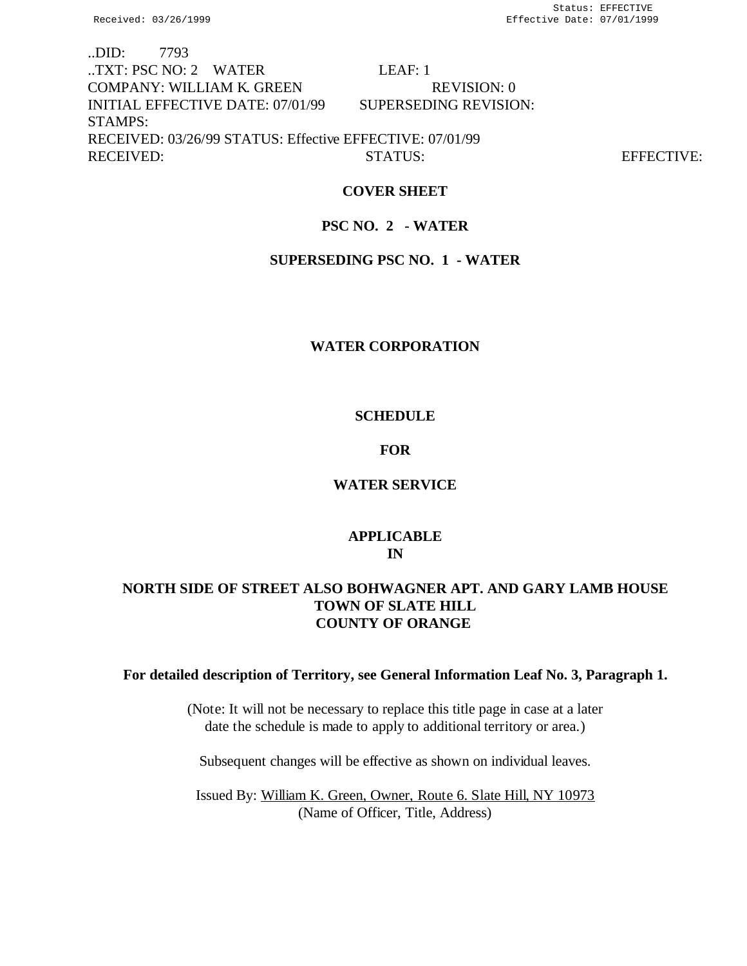..DID: 7793 ..TXT: PSC NO: 2 WATER LEAF: 1 COMPANY: WILLIAM K. GREEN REVISION: 0 INITIAL EFFECTIVE DATE: 07/01/99 SUPERSEDING REVISION: STAMPS: RECEIVED: 03/26/99 STATUS: Effective EFFECTIVE: 07/01/99 RECEIVED: STATUS: STATUS: EFFECTIVE:

# **COVER SHEET**

# **PSC NO. 2 - WATER**

# **SUPERSEDING PSC NO. 1 - WATER**

## **WATER CORPORATION**

# **SCHEDULE**

# **FOR**

# **WATER SERVICE**

# **APPLICABLE IN**

# **NORTH SIDE OF STREET ALSO BOHWAGNER APT. AND GARY LAMB HOUSE TOWN OF SLATE HILL COUNTY OF ORANGE**

# **For detailed description of Territory, see General Information Leaf No. 3, Paragraph 1.**

(Note: It will not be necessary to replace this title page in case at a later date the schedule is made to apply to additional territory or area.)

Subsequent changes will be effective as shown on individual leaves.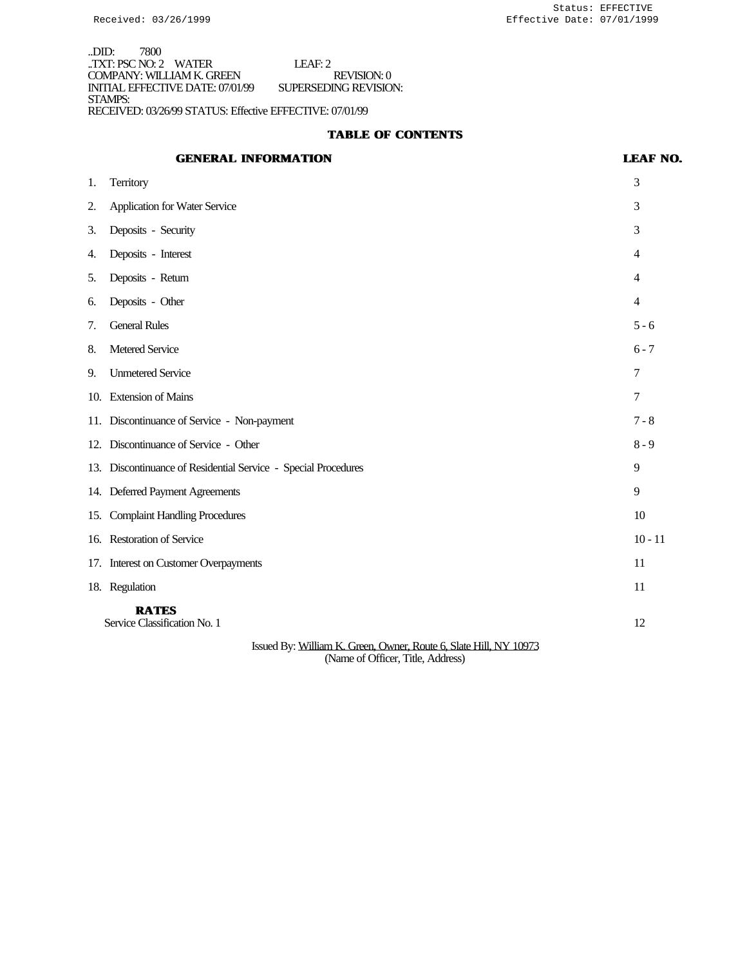..DID: 7800 ..TXT: PSC NO: 2 WATER LEAF: 2 COMPANY: WILLIAM K. GREEN REVISION: 0 INITIAL EFFECTIVE DATE: 07/01/99 SUPERSEDING REVISION: STAMPS: RECEIVED: 03/26/99 STATUS: Effective EFFECTIVE: 07/01/99

# **TABLE OF CONTENTS**

# **GENERAL INFORMATION LEAF NO.**

| 1.                                                                | <b>Territory</b>                                               | 3         |
|-------------------------------------------------------------------|----------------------------------------------------------------|-----------|
| 2.                                                                | <b>Application for Water Service</b>                           | 3         |
| 3.                                                                | Deposits - Security                                            | 3         |
| 4.                                                                | Deposits - Interest                                            | 4         |
| 5.                                                                | Deposits - Return                                              | 4         |
| 6.                                                                | Deposits - Other                                               | 4         |
| 7.                                                                | <b>General Rules</b>                                           | $5 - 6$   |
| 8.                                                                | Metered Service                                                | $6 - 7$   |
| 9.                                                                | <b>Unmetered Service</b>                                       | 7         |
| 10.                                                               | <b>Extension of Mains</b>                                      | 7         |
|                                                                   | 11. Discontinuance of Service - Non-payment                    | $7 - 8$   |
|                                                                   | 12. Discontinuance of Service - Other                          | $8 - 9$   |
|                                                                   | 13. Discontinuance of Residential Service - Special Procedures | 9         |
|                                                                   | 14. Deferred Payment Agreements                                | 9         |
| 15.                                                               | <b>Complaint Handling Procedures</b>                           | 10        |
| 16.                                                               | <b>Restoration of Service</b>                                  | $10 - 11$ |
|                                                                   | 17. Interest on Customer Overpayments                          | 11        |
|                                                                   | 18. Regulation                                                 | 11        |
|                                                                   | <b>RATES</b><br>Service Classification No. 1                   | 12        |
| Issued By: William K. Green, Owner, Route 6, Slate Hill, NY 10973 |                                                                |           |

(Name of Officer, Title, Address)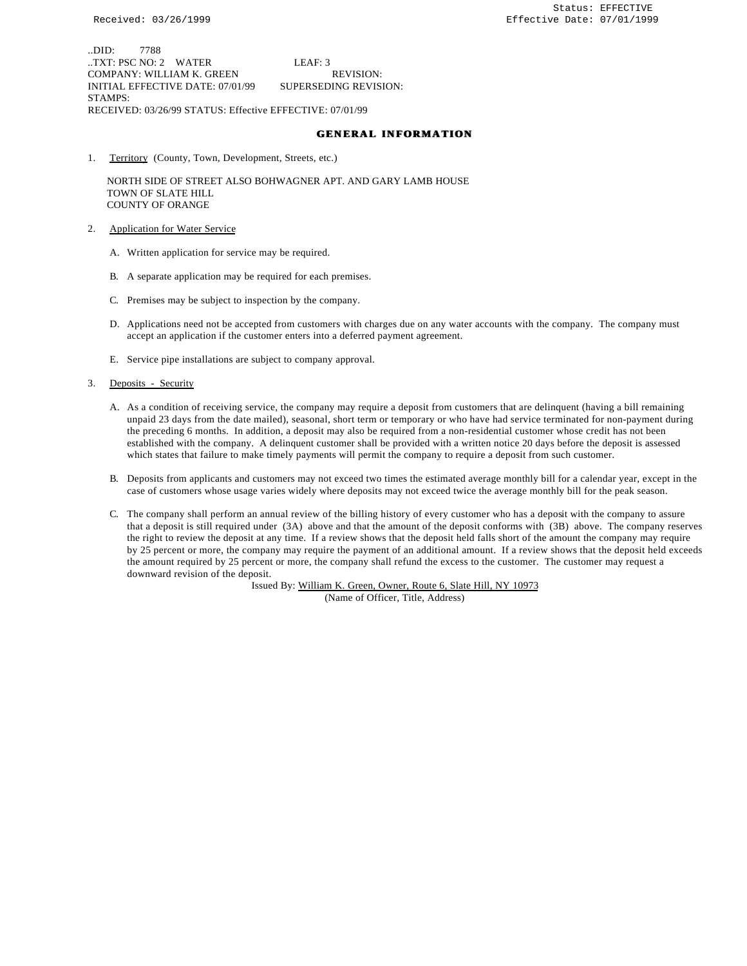..DID: 7788 ..TXT: PSC NO: 2 WATER LEAF: 3 COMPANY: WILLIAM K. GREEN REVISION: INITIAL EFFECTIVE DATE: 07/01/99 SUPERSEDING REVISION: STAMPS: RECEIVED: 03/26/99 STATUS: Effective EFFECTIVE: 07/01/99

#### **GENERAL INFORMATION**

1. Territory (County, Town, Development, Streets, etc.)

 NORTH SIDE OF STREET ALSO BOHWAGNER APT. AND GARY LAMB HOUSE TOWN OF SLATE HILL COUNTY OF ORANGE

- 2. Application for Water Service
	- A. Written application for service may be required.
	- B. A separate application may be required for each premises.
	- C. Premises may be subject to inspection by the company.
	- D. Applications need not be accepted from customers with charges due on any water accounts with the company. The company must accept an application if the customer enters into a deferred payment agreement.
	- E. Service pipe installations are subject to company approval.
- 3. Deposits Security
	- A. As a condition of receiving service, the company may require a deposit from customers that are delinquent (having a bill remaining unpaid 23 days from the date mailed), seasonal, short term or temporary or who have had service terminated for non-payment during the preceding 6 months. In addition, a deposit may also be required from a non-residential customer whose credit has not been established with the company. A delinquent customer shall be provided with a written notice 20 days before the deposit is assessed which states that failure to make timely payments will permit the company to require a deposit from such customer.
	- B. Deposits from applicants and customers may not exceed two times the estimated average monthly bill for a calendar year, except in the case of customers whose usage varies widely where deposits may not exceed twice the average monthly bill for the peak season.
	- C. The company shall perform an annual review of the billing history of every customer who has a deposit with the company to assure that a deposit is still required under (3A) above and that the amount of the deposit conforms with (3B) above. The company reserves the right to review the deposit at any time. If a review shows that the deposit held falls short of the amount the company may require by 25 percent or more, the company may require the payment of an additional amount. If a review shows that the deposit held exceeds the amount required by 25 percent or more, the company shall refund the excess to the customer. The customer may request a downward revision of the deposit.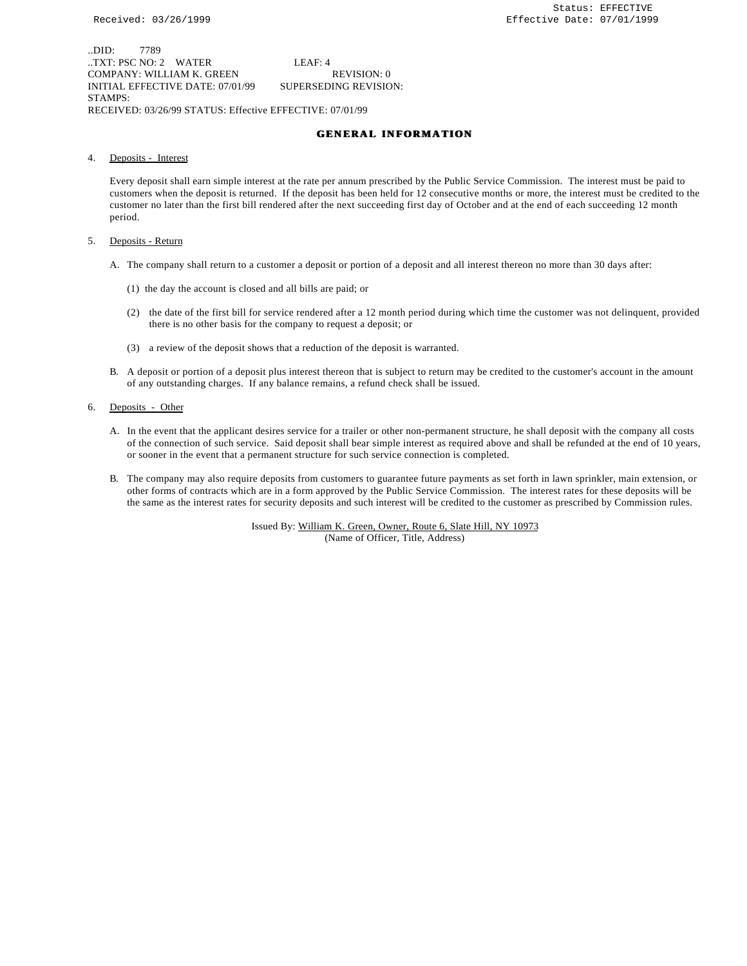..DID: 7789 ..TXT: PSC NO: 2 WATER LEAF: 4 COMPANY: WILLIAM K. GREEN REVISION: 0 INITIAL EFFECTIVE DATE: 07/01/99 SUPERSEDING REVISION: STAMPS: RECEIVED: 03/26/99 STATUS: Effective EFFECTIVE: 07/01/99

#### **GENERAL INFORMATION**

4. Deposits - Interest

Every deposit shall earn simple interest at the rate per annum prescribed by the Public Service Commission. The interest must be paid to customers when the deposit is returned. If the deposit has been held for 12 consecutive months or more, the interest must be credited to the customer no later than the first bill rendered after the next succeeding first day of October and at the end of each succeeding 12 month period.

- 5. Deposits Return
	- A. The company shall return to a customer a deposit or portion of a deposit and all interest thereon no more than 30 days after:
		- (1) the day the account is closed and all bills are paid; or
		- (2) the date of the first bill for service rendered after a 12 month period during which time the customer was not delinquent, provided there is no other basis for the company to request a deposit; or
		- (3) a review of the deposit shows that a reduction of the deposit is warranted.
	- B. A deposit or portion of a deposit plus interest thereon that is subject to return may be credited to the customer's account in the amount of any outstanding charges. If any balance remains, a refund check shall be issued.
- 6. Deposits Other
	- A. In the event that the applicant desires service for a trailer or other non-permanent structure, he shall deposit with the company all costs of the connection of such service. Said deposit shall bear simple interest as required above and shall be refunded at the end of 10 years, or sooner in the event that a permanent structure for such service connection is completed.
	- B. The company may also require deposits from customers to guarantee future payments as set forth in lawn sprinkler, main extension, or other forms of contracts which are in a form approved by the Public Service Commission. The interest rates for these deposits will be the same as the interest rates for security deposits and such interest will be credited to the customer as prescribed by Commission rules.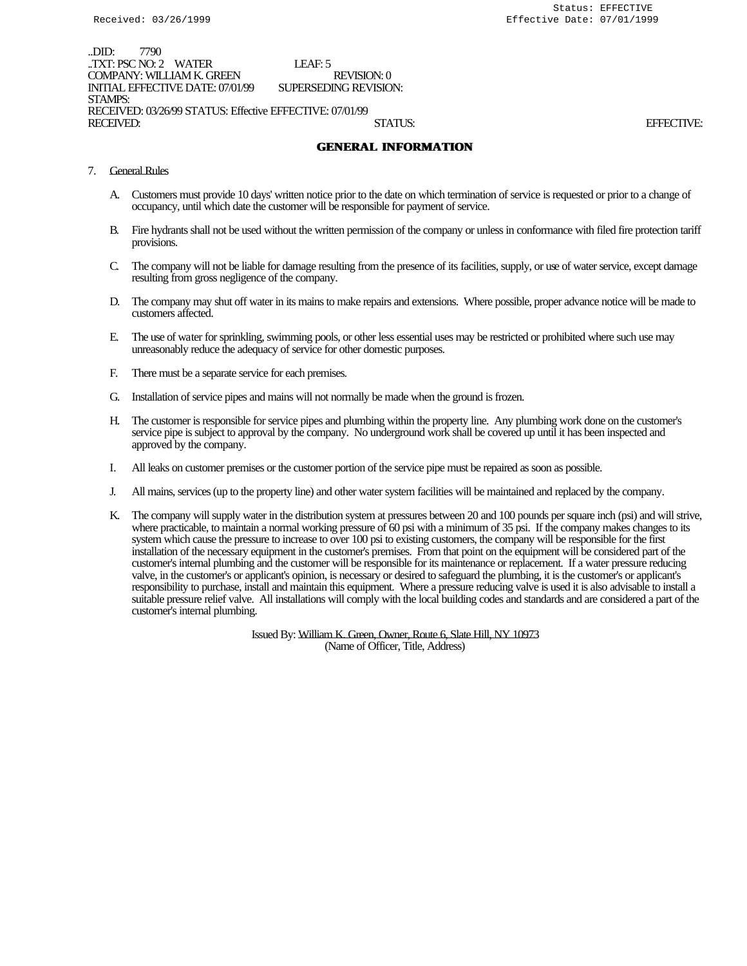..DID: 7790 ..TXT: PSC NO: 2 WATER LEAF: 5 COMPANY: WILLIAM K. GREEN REVISION: 0<br>INITIAL EFFECTIVE DATE: 07/01/99 SUPERSEDING REVISION: INITIAL EFFECTIVE DATE: 07/01/99 STAMPS: RECEIVED: 03/26/99 STATUS: Effective EFFECTIVE: 07/01/99 RECEIVED: STATUS: EFFECTIVE:

## **GENERAL INFORMATION**

- 7. General Rules
	- A. Customers must provide 10 days' written notice prior to the date on which termination of service is requested or prior to a change of occupancy, until which date the customer will be responsible for payment of service.
	- B. Fire hydrants shall not be used without the written permission of the company or unless in conformance with filed fire protection tariff provisions.
	- C. The company will not be liable for damage resulting from the presence of its facilities, supply, or use of water service, except damage resulting from gross negligence of the company.
	- D. The company may shut off water in its mains to make repairs and extensions. Where possible, proper advance notice will be made to customers affected.
	- E. The use of water for sprinkling, swimming pools, or other less essential uses may be restricted or prohibited where such use may unreasonably reduce the adequacy of service for other domestic purposes.
	- F. There must be a separate service for each premises.
	- G. Installation of service pipes and mains will not normally be made when the ground is frozen.
	- H. The customer is responsible for service pipes and plumbing within the property line. Any plumbing work done on the customer's service pipe is subject to approval by the company. No underground work shall be covered up until it has been inspected and approved by the company.
	- I. All leaks on customer premises or the customer portion of the service pipe must be repaired as soon as possible.
	- J. All mains, services (up to the property line) and other water system facilities will be maintained and replaced by the company.
	- K. The company will supply water in the distribution system at pressures between 20 and 100 pounds per square inch (psi) and will strive, where practicable, to maintain a normal working pressure of 60 psi with a minimum of 35 psi. If the company makes changes to its system which cause the pressure to increase to over 100 psi to existing customers, the company will be responsible for the first installation of the necessary equipment in the customer's premises. From that point on the equipment will be considered part of the customer's internal plumbing and the customer will be responsible for its maintenance or replacement. If a water pressure reducing valve, in the customer's or applicant's opinion, is necessary or desired to safeguard the plumbing, it is the customer's or applicant's responsibility to purchase, install and maintain this equipment. Where a pressure reducing valve is used it is also advisable to install a suitable pressure relief valve. All installations will comply with the local building codes and standards and are considered a part of the customer's internal plumbing.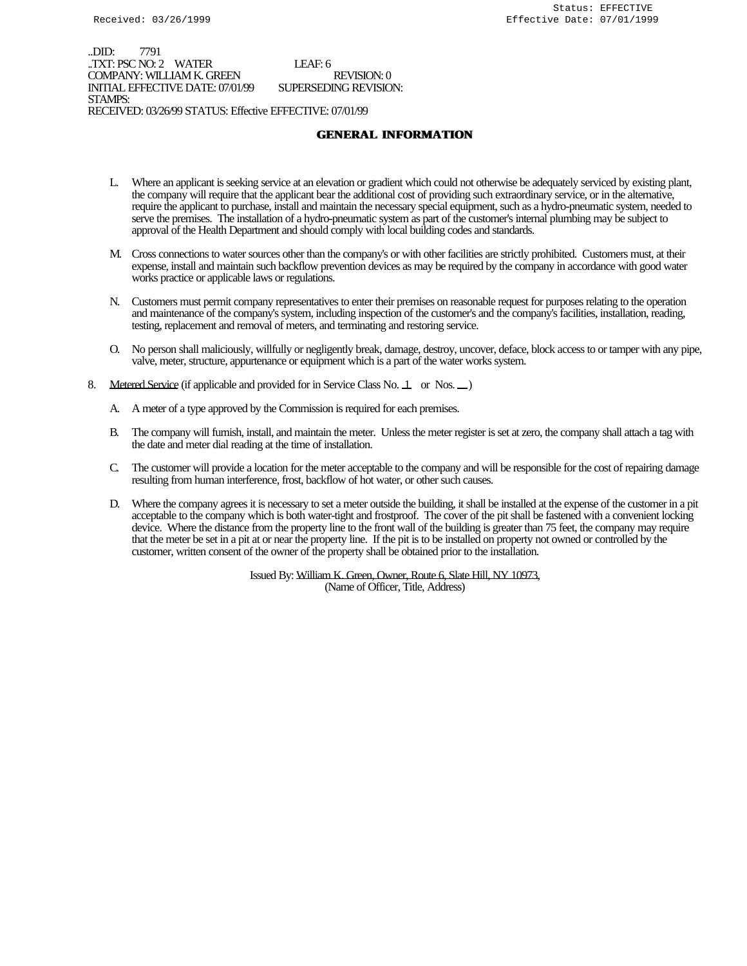..DID: 7791 ..TXT: PSC NO: 2 WATER LEAF: 6 COMPANY: WILLIAM K. GREEN REVISION: 0 INITIAL EFFECTIVE DATE: 07/01/99 SUPERSEDING REVISION: STAMPS: RECEIVED: 03/26/99 STATUS: Effective EFFECTIVE: 07/01/99

## **GENERAL INFORMATION**

- L. Where an applicant is seeking service at an elevation or gradient which could not otherwise be adequately serviced by existing plant, the company will require that the applicant bear the additional cost of providing such extraordinary service, or in the alternative, require the applicant to purchase, install and maintain the necessary special equipment, such as a hydro-pneumatic system, needed to serve the premises. The installation of a hydro-pneumatic system as part of the customer's internal plumbing may be subject to approval of the Health Department and should comply with local building codes and standards.
- M. Cross connections to water sources other than the company's or with other facilities are strictly prohibited. Customers must, at their expense, install and maintain such backflow prevention devices as may be required by the company in accordance with good water works practice or applicable laws or regulations.
- N. Customers must permit company representatives to enter their premises on reasonable request for purposes relating to the operation and maintenance of the company's system, including inspection of the customer's and the company's facilities, installation, reading, testing, replacement and removal of meters, and terminating and restoring service.
- O. No person shall maliciously, willfully or negligently break, damage, destroy, uncover, deface, block access to or tamper with any pipe, valve, meter, structure, appurtenance or equipment which is a part of the water works system.
- 8. Metered Service (if applicable and provided for in Service Class No. 1 or Nos.  $\Box$ )
	- A. A meter of a type approved by the Commission is required for each premises.
	- B. The company will furnish, install, and maintain the meter. Unless the meter register is set at zero, the company shall attach a tag with the date and meter dial reading at the time of installation.
	- C. The customer will provide a location for the meter acceptable to the company and will be responsible for the cost of repairing damage resulting from human interference, frost, backflow of hot water, or other such causes.
	- D. Where the company agrees it is necessary to set a meter outside the building, it shall be installed at the expense of the customer in a pit acceptable to the company which is both water-tight and frostproof. The cover of the pit shall be fastened with a convenient locking device. Where the distance from the property line to the front wall of the building is greater than 75 feet, the company may require that the meter be set in a pit at or near the property line. If the pit is to be installed on property not owned or controlled by the customer, written consent of the owner of the property shall be obtained prior to the installation.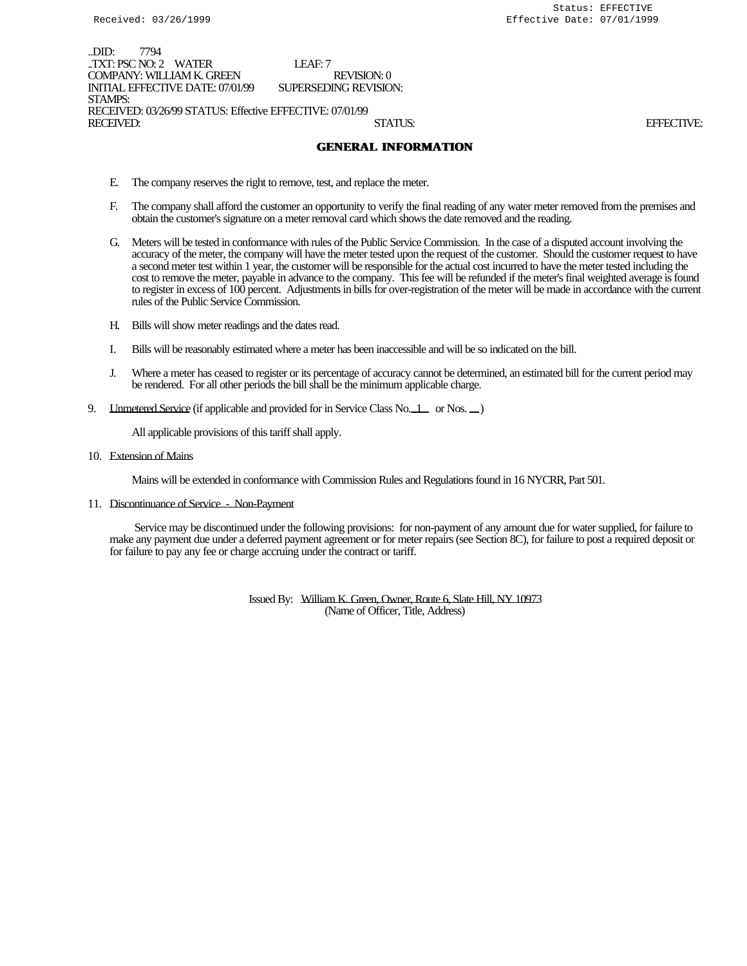..DID: 7794 ..TXT: PSC NO: 2 WATER LEAF: 7 COMPANY: WILLIAM K. GREEN REVISION: 0<br>
INITIAL EFFECTIVE DATE: 07/01/99 SUPERSEDING REVISION: INITIAL EFFECTIVE DATE: 07/01/99 STAMPS: RECEIVED: 03/26/99 STATUS: Effective EFFECTIVE: 07/01/99 RECEIVED: STATUS: EFFECTIVE:

## **GENERAL INFORMATION**

- E. The company reserves the right to remove, test, and replace the meter.
- F. The company shall afford the customer an opportunity to verify the final reading of any water meter removed from the premises and obtain the customer's signature on a meter removal card which shows the date removed and the reading.
- G. Meters will be tested in conformance with rules of the Public Service Commission. In the case of a disputed account involving the accuracy of the meter, the company will have the meter tested upon the request of the customer. Should the customer request to have a second meter test within 1 year, the customer will be responsible for the actual cost incurred to have the meter tested including the cost to remove the meter, payable in advance to the company. This fee will be refunded if the meter's final weighted average is found to register in excess of 100 percent. Adjustments in bills for over-registration of the meter will be made in accordance with the current rules of the Public Service Commission.
- H. Bills will show meter readings and the dates read.
- I. Bills will be reasonably estimated where a meter has been inaccessible and will be so indicated on the bill.
- J. Where a meter has ceased to register or its percentage of accuracy cannot be determined, an estimated bill for the current period may be rendered. For all other periods the bill shall be the minimum applicable charge.
- 9. LInmetered Service (if applicable and provided for in Service Class No. 1 or Nos.  $\Box$ )

All applicable provisions of this tariff shall apply.

10. Extension of Mains

Mains will be extended in conformance with Commission Rules and Regulations found in 16 NYCRR, Part 501.

11. Discontinuance of Service - Non-Payment

 Service may be discontinued under the following provisions: for non-payment of any amount due for water supplied, for failure to make any payment due under a deferred payment agreement or for meter repairs (see Section 8C), for failure to post a required deposit or for failure to pay any fee or charge accruing under the contract or tariff.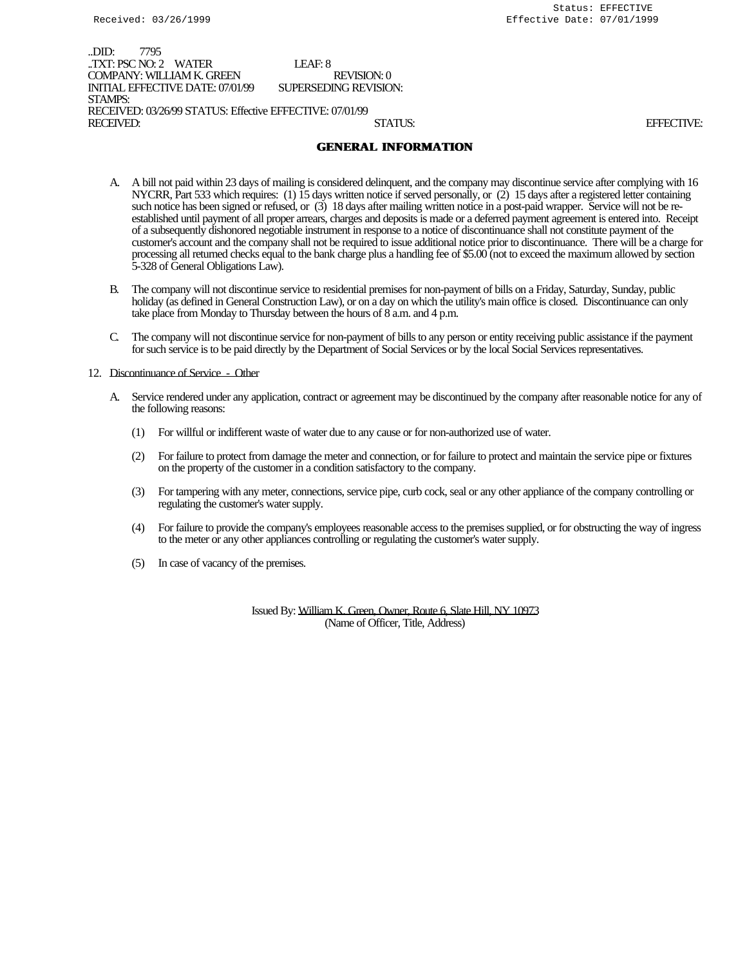..DID: 7795 ..TXT: PSC NO: 2 WATER LEAF: 8 COMPANY: WILLIAM K. GREEN REVISION: 0<br>INITIAL EFFECTIVE DATE: 07/01/99 SUPERSEDING REVISION: INITIAL EFFECTIVE DATE: 07/01/99 STAMPS: RECEIVED: 03/26/99 STATUS: Effective EFFECTIVE: 07/01/99 RECEIVED: STATUS: EFFECTIVE:

## **GENERAL INFORMATION**

- A. A bill not paid within 23 days of mailing is considered delinquent, and the company may discontinue service after complying with 16 NYCRR, Part 533 which requires: (1) 15 days written notice if served personally, or (2) 15 days after a registered letter containing such notice has been signed or refused, or (3) 18 days after mailing written notice in a post-paid wrapper. Service will not be reestablished until payment of all proper arrears, charges and deposits is made or a deferred payment agreement is entered into. Receipt of a subsequently dishonored negotiable instrument in response to a notice of discontinuance shall not constitute payment of the customer's account and the company shall not be required to issue additional notice prior to discontinuance. There will be a charge for processing all returned checks equal to the bank charge plus a handling fee of \$5.00 (not to exceed the maximum allowed by section 5-328 of General Obligations Law).
- B. The company will not discontinue service to residential premises for non-payment of bills on a Friday, Saturday, Sunday, public holiday (as defined in General Construction Law), or on a day on which the utility's main office is closed. Discontinuance can only take place from Monday to Thursday between the hours of 8 a.m. and 4 p.m.
- C. The company will not discontinue service for non-payment of bills to any person or entity receiving public assistance if the payment for such service is to be paid directly by the Department of Social Services or by the local Social Services representatives.

#### 12. Discontinuance of Service - Other

- A. Service rendered under any application, contract or agreement may be discontinued by the company after reasonable notice for any of the following reasons:
	- (1) For willful or indifferent waste of water due to any cause or for non-authorized use of water.
	- (2) For failure to protect from damage the meter and connection, or for failure to protect and maintain the service pipe or fixtures on the property of the customer in a condition satisfactory to the company.
	- (3) For tampering with any meter, connections, service pipe, curb cock, seal or any other appliance of the company controlling or regulating the customer's water supply.
	- (4) For failure to provide the company's employees reasonable access to the premises supplied, or for obstructing the way of ingress to the meter or any other appliances controlling or regulating the customer's water supply.
	- (5) In case of vacancy of the premises.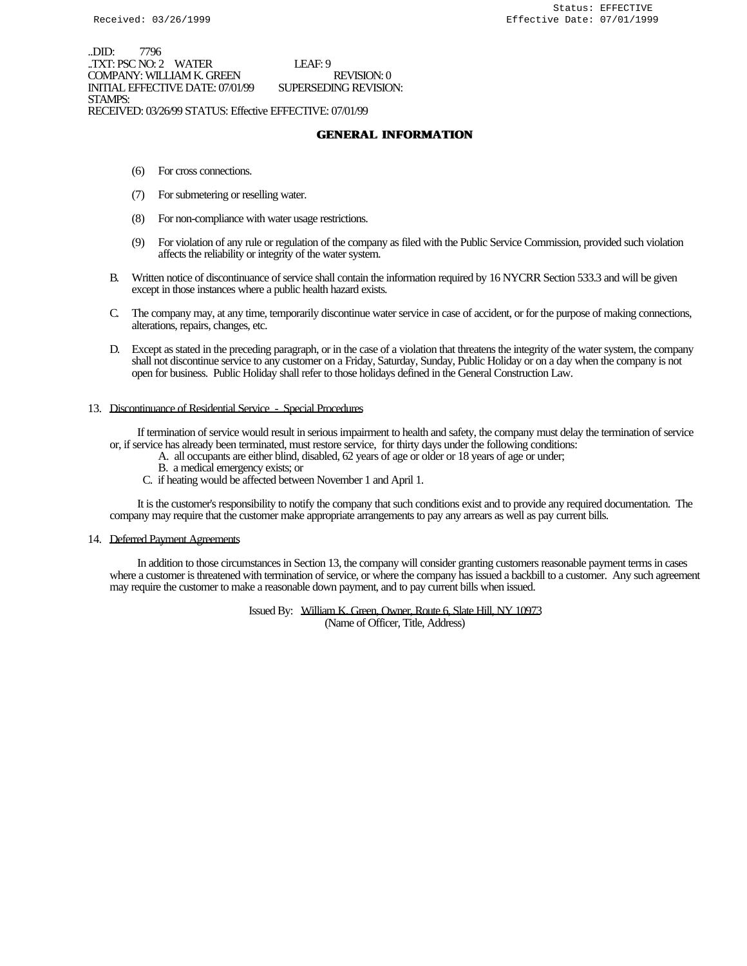..DID: 7796 ..TXT: PSC NO: 2 WATER LEAF: 9 COMPANY: WILLIAM K. GREEN REVISION: 0 INITIAL EFFECTIVE DATE: 07/01/99 SUPERSEDING REVISION: STAMPS: RECEIVED: 03/26/99 STATUS: Effective EFFECTIVE: 07/01/99

## **GENERAL INFORMATION**

- (6) For cross connections.
- (7) For submetering or reselling water.
- (8) For non-compliance with water usage restrictions.
- (9) For violation of any rule or regulation of the company as filed with the Public Service Commission, provided such violation affects the reliability or integrity of the water system.
- B. Written notice of discontinuance of service shall contain the information required by 16 NYCRR Section 533.3 and will be given except in those instances where a public health hazard exists.
- C. The company may, at any time, temporarily discontinue water service in case of accident, or for the purpose of making connections, alterations, repairs, changes, etc.
- D. Except as stated in the preceding paragraph, or in the case of a violation that threatens the integrity of the water system, the company shall not discontinue service to any customer on a Friday, Saturday, Sunday, Public Holiday or on a day when the company is not open for business. Public Holiday shall refer to those holidays defined in the General Construction Law.

#### 13. Discontinuance of Residential Service - Special Procedures

 If termination of service would result in serious impairment to health and safety, the company must delay the termination of service or, if service has already been terminated, must restore service, for thirty days under the following conditions:

- A. all occupants are either blind, disabled, 62 years of age or older or 18 years of age or under;
	- B. a medical emergency exists; or
	- C. if heating would be affected between November 1 and April 1.

 It is the customer's responsibility to notify the company that such conditions exist and to provide any required documentation. The company may require that the customer make appropriate arrangements to pay any arrears as well as pay current bills.

#### 14. Deferred Payment Agreements

 In addition to those circumstances in Section 13, the company will consider granting customers reasonable payment terms in cases where a customer is threatened with termination of service, or where the company has issued a backbill to a customer. Any such agreement may require the customer to make a reasonable down payment, and to pay current bills when issued.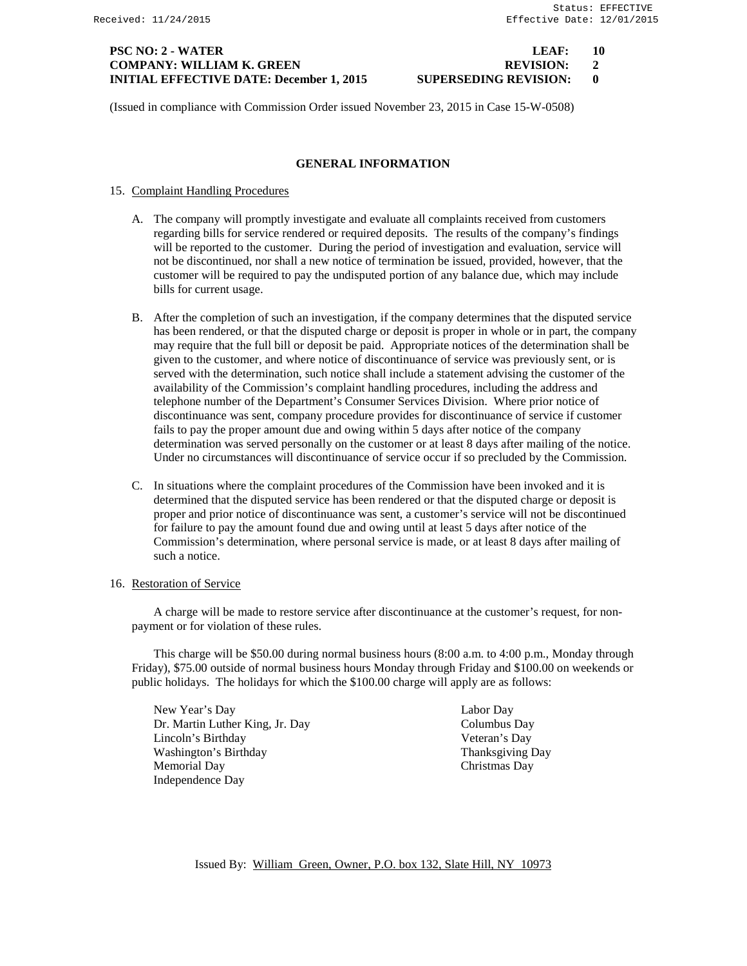## **PSC NO: 2 - WATER LEAF: 10 COMPANY: WILLIAM K. GREEN REVISION: 2 INITIAL EFFECTIVE DATE: December 1, 2015 SUPERSEDING REVISION: 0**

(Issued in compliance with Commission Order issued November 23, 2015 in Case 15-W-0508)

## **GENERAL INFORMATION**

- 15. Complaint Handling Procedures
	- A. The company will promptly investigate and evaluate all complaints received from customers regarding bills for service rendered or required deposits. The results of the company's findings will be reported to the customer. During the period of investigation and evaluation, service will not be discontinued, nor shall a new notice of termination be issued, provided, however, that the customer will be required to pay the undisputed portion of any balance due, which may include bills for current usage.
	- B. After the completion of such an investigation, if the company determines that the disputed service has been rendered, or that the disputed charge or deposit is proper in whole or in part, the company may require that the full bill or deposit be paid. Appropriate notices of the determination shall be given to the customer, and where notice of discontinuance of service was previously sent, or is served with the determination, such notice shall include a statement advising the customer of the availability of the Commission's complaint handling procedures, including the address and telephone number of the Department's Consumer Services Division. Where prior notice of discontinuance was sent, company procedure provides for discontinuance of service if customer fails to pay the proper amount due and owing within 5 days after notice of the company determination was served personally on the customer or at least 8 days after mailing of the notice. Under no circumstances will discontinuance of service occur if so precluded by the Commission.
	- C. In situations where the complaint procedures of the Commission have been invoked and it is determined that the disputed service has been rendered or that the disputed charge or deposit is proper and prior notice of discontinuance was sent, a customer's service will not be discontinued for failure to pay the amount found due and owing until at least 5 days after notice of the Commission's determination, where personal service is made, or at least 8 days after mailing of such a notice.

### 16. Restoration of Service

A charge will be made to restore service after discontinuance at the customer's request, for nonpayment or for violation of these rules.

This charge will be \$50.00 during normal business hours (8:00 a.m. to 4:00 p.m., Monday through Friday), \$75.00 outside of normal business hours Monday through Friday and \$100.00 on weekends or public holidays. The holidays for which the \$100.00 charge will apply are as follows:

New Year's Day Labor Day Dr. Martin Luther King, Jr. Day Columbus Day Columbus Day Columbus Day Columbus Day Columbus Day Columbus Day Lincoln's Birthday Veteran's Day Washington's Birthday Memorial Day Christmas Day Independence Day

Issued By: William Green, Owner, P.O. box 132, Slate Hill, NY 10973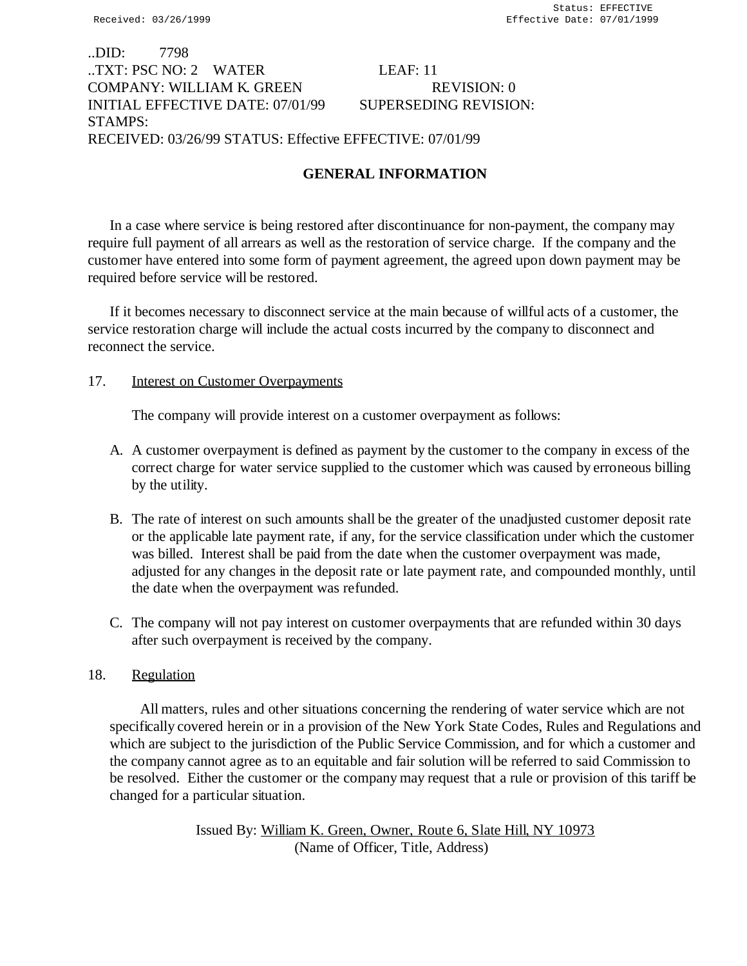# ..DID: 7798 ..TXT: PSC NO: 2 WATER LEAF: 11 COMPANY: WILLIAM K. GREEN REVISION: 0 INITIAL EFFECTIVE DATE: 07/01/99 SUPERSEDING REVISION: STAMPS: RECEIVED: 03/26/99 STATUS: Effective EFFECTIVE: 07/01/99

# **GENERAL INFORMATION**

In a case where service is being restored after discontinuance for non-payment, the company may require full payment of all arrears as well as the restoration of service charge. If the company and the customer have entered into some form of payment agreement, the agreed upon down payment may be required before service will be restored.

If it becomes necessary to disconnect service at the main because of willful acts of a customer, the service restoration charge will include the actual costs incurred by the company to disconnect and reconnect the service.

# 17. Interest on Customer Overpayments

The company will provide interest on a customer overpayment as follows:

- A. A customer overpayment is defined as payment by the customer to the company in excess of the correct charge for water service supplied to the customer which was caused by erroneous billing by the utility.
- B. The rate of interest on such amounts shall be the greater of the unadjusted customer deposit rate or the applicable late payment rate, if any, for the service classification under which the customer was billed. Interest shall be paid from the date when the customer overpayment was made, adjusted for any changes in the deposit rate or late payment rate, and compounded monthly, until the date when the overpayment was refunded.
- C. The company will not pay interest on customer overpayments that are refunded within 30 days after such overpayment is received by the company.

# 18. Regulation

 All matters, rules and other situations concerning the rendering of water service which are not specifically covered herein or in a provision of the New York State Codes, Rules and Regulations and which are subject to the jurisdiction of the Public Service Commission, and for which a customer and the company cannot agree as to an equitable and fair solution will be referred to said Commission to be resolved. Either the customer or the company may request that a rule or provision of this tariff be changed for a particular situation.